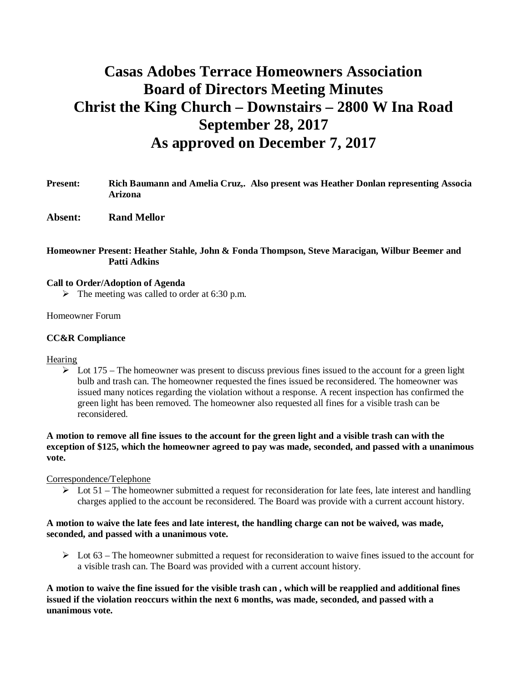# **Casas Adobes Terrace Homeowners Association Board of Directors Meeting Minutes Christ the King Church – Downstairs – 2800 W Ina Road September 28, 2017 As approved on December 7, 2017**

- **Present: Rich Baumann and Amelia Cruz,. Also present was Heather Donlan representing Associa Arizona**
- **Absent: Rand Mellor**

## **Homeowner Present: Heather Stahle, John & Fonda Thompson, Steve Maracigan, Wilbur Beemer and Patti Adkins**

#### **Call to Order/Adoption of Agenda**

 $\triangleright$  The meeting was called to order at 6:30 p.m.

#### Homeowner Forum

#### **CC&R Compliance**

#### **Hearing**

 $\triangleright$  Lot 175 – The homeowner was present to discuss previous fines issued to the account for a green light bulb and trash can. The homeowner requested the fines issued be reconsidered. The homeowner was issued many notices regarding the violation without a response. A recent inspection has confirmed the green light has been removed. The homeowner also requested all fines for a visible trash can be reconsidered.

**A motion to remove all fine issues to the account for the green light and a visible trash can with the exception of \$125, which the homeowner agreed to pay was made, seconded, and passed with a unanimous vote.**

#### Correspondence/Telephone

 $\triangleright$  Lot 51 – The homeowner submitted a request for reconsideration for late fees, late interest and handling charges applied to the account be reconsidered. The Board was provide with a current account history.

### **A motion to waive the late fees and late interest, the handling charge can not be waived, was made, seconded, and passed with a unanimous vote.**

 $\triangleright$  Lot 63 – The homeowner submitted a request for reconsideration to waive fines issued to the account for a visible trash can. The Board was provided with a current account history.

**A motion to waive the fine issued for the visible trash can , which will be reapplied and additional fines issued if the violation reoccurs within the next 6 months, was made, seconded, and passed with a unanimous vote.**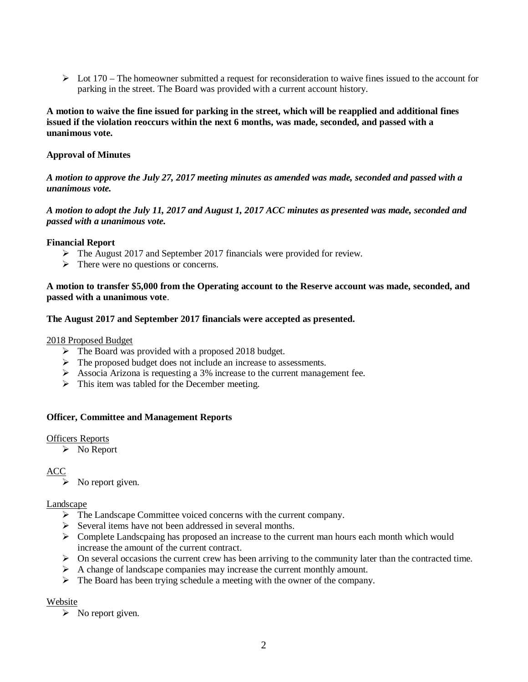$\triangleright$  Lot 170 – The homeowner submitted a request for reconsideration to waive fines issued to the account for parking in the street. The Board was provided with a current account history.

# **A motion to waive the fine issued for parking in the street, which will be reapplied and additional fines issued if the violation reoccurs within the next 6 months, was made, seconded, and passed with a unanimous vote.**

# **Approval of Minutes**

# *A motion to approve the July 27, 2017 meeting minutes as amended was made, seconded and passed with a unanimous vote.*

# *A motion to adopt the July 11, 2017 and August 1, 2017 ACC minutes as presented was made, seconded and passed with a unanimous vote.*

# **Financial Report**

- $\triangleright$  The August 2017 and September 2017 financials were provided for review.
- $\triangleright$  There were no questions or concerns.

**A motion to transfer \$5,000 from the Operating account to the Reserve account was made, seconded, and passed with a unanimous vote**.

# **The August 2017 and September 2017 financials were accepted as presented.**

### 2018 Proposed Budget

- $\triangleright$  The Board was provided with a proposed 2018 budget.
- $\triangleright$  The proposed budget does not include an increase to assessments.
- Ø Associa Arizona is requesting a 3% increase to the current management fee.
- $\triangleright$  This item was tabled for the December meeting.

# **Officer, Committee and Management Reports**

#### Officers Reports

 $\triangleright$  No Report

# ACC

 $\triangleright$  No report given.

#### Landscape

- $\triangleright$  The Landscape Committee voiced concerns with the current company.
- Ø Several items have not been addressed in several months.
- $\triangleright$  Complete Landscpaing has proposed an increase to the current man hours each month which would increase the amount of the current contract.
- $\triangleright$  On several occasions the current crew has been arriving to the community later than the contracted time.
- $\triangleright$  A change of landscape companies may increase the current monthly amount.
- $\triangleright$  The Board has been trying schedule a meeting with the owner of the company.

# Website

 $\triangleright$  No report given.